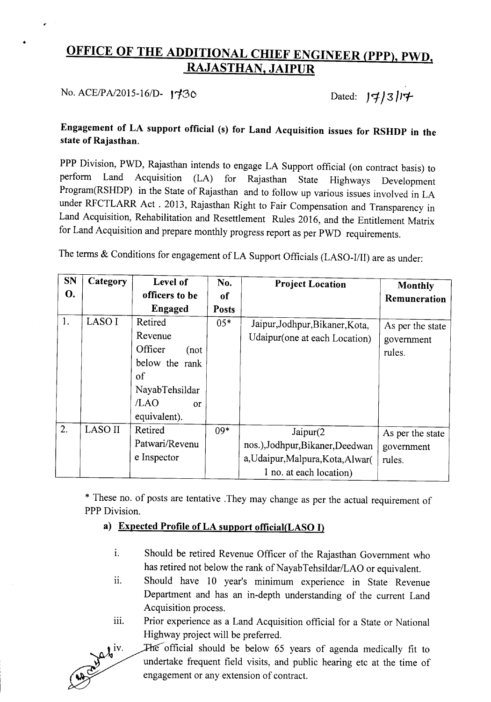# OFFICE OF THE ADDITIONAL CHIEF ENGINEER (PPP), PWD, RAJASTHAN, JAIPUR

No. *ACE/PA/2015-16/D-* 1730 Dated:  $J\cancel{\tau}/3/\cancel{\tau}$ 

•

# Engagement of LA support official (s) for Land Acquisition issues for RSHDP in the state of Rajasthan.

PPP Division, PWD, Rajasthan intends to engage LA Support official (on contract basis) to perform Land Acquisition (LA) for Rajasthan State Highways Development Program(RSHDP) in the State of Rajasthan and to follow up various issues involved in LA under RFCTLARR Act. 2013, Rajasthan Right to Fair Compensation and Transparency in Land Acquisition, Rehabilitation and Resettlement Rules 2016, and the Entitlement Matrix for Land Acquisition and prepare monthly progress report as per PWD requirements.

The terms & Conditions for engagement of LA Support Officials (LASO-I/II) are as under:

| <b>SN</b> | Category | Level of        | No.           | <b>Project Location</b>           | Monthly          |
|-----------|----------|-----------------|---------------|-----------------------------------|------------------|
| О.        |          | officers to be  | <sub>of</sub> |                                   | Remuneration     |
|           |          | Engaged         | <b>Posts</b>  |                                   |                  |
| 1.        | LASO I   | Retired         | $05*$         | Jaipur, Jodhpur, Bikaner, Kota,   | As per the state |
|           |          | Revenue         |               | Udaipur(one at each Location)     | government       |
|           |          | Officer<br>(not |               |                                   | rules.           |
|           |          | below the rank  |               |                                   |                  |
|           |          | of              |               |                                   |                  |
|           |          | NayabTehsildar  |               |                                   |                  |
|           |          | /LAO<br>or      |               |                                   |                  |
|           |          | equivalent).    |               |                                   |                  |
| 2.        | LASO II  | Retired         | $09*$         | $J$ aipur $(2)$                   | As per the state |
|           |          | Patwari/Revenu  |               | nos.),Jodhpur,Bikaner,Deedwan     | government       |
|           |          | e Inspector     |               | a, Udaipur, Malpura, Kota, Alwar( | rules.           |
|           |          |                 |               | 1 no. at each location)           |                  |

\* These no. of posts are tentative .They may change as per the actual requirement of PPP Division.

#### a) Expected Profile of LA support official(LASO I)

- i. Should be retired Revenue Officer of the Rajasthan Government who has retired not below the rank of NayabTehsildar/LAO or equivalent.
- ii. Should have 10 year's minimum experience in State Revenue Department and has an in-depth understanding of the current Land Acquisition process.
- iii. Prior experience as a Land Acquisition official for a State or National Highway project will be preferred.



The official should be below 65 years of agenda medically fit to undertake frequent field visits, and public hearing etc at the time of engagement or any extension of contract.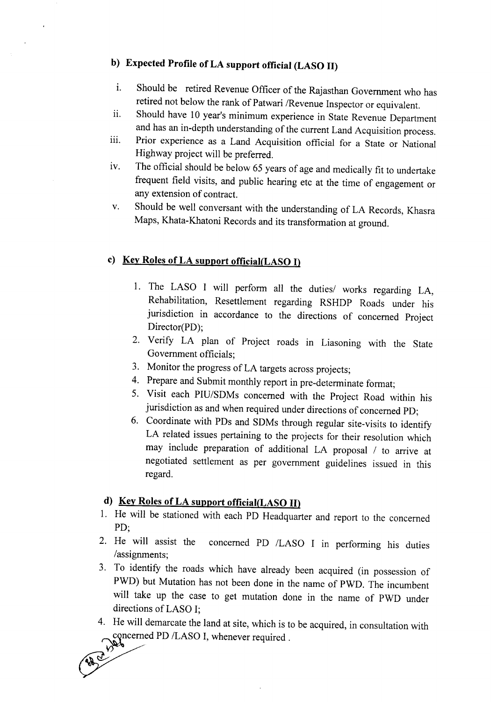# **b) Expected Profile** of LA **support official (LASO II)**

- 1. Should be retired Revenue Officer of the Rajasthan Government who has retired not below the rank of Patwari *IRevenue* Inspector or equivalent.
- ii. Should have 10 year's minimum experience in State Revenue Department and has an in-depth understanding of the current Land Acquisition process.
- iii. Prior experience as a Land Acquisition official for a State or National Highway project will be preferred.
- iv. The official should be below 65 years of age and medically fit to undertake frequent field visits, and public hearing etc at the time of engagement or any extension of contract.
- v. Should be well conversant with the understanding of LA Records, Khasra Maps, Khata-Khatoni Records and its transformation at ground.

#### **c) Key Roles of LA support official(LASO I)**

- I. The LASO I will perform all the *dutiesl* works regarding LA, Rehabilitation, Resettlement regarding RSHDP Roads under his jurisdiction in accordance to the directions of concerned Project Director(PD);
- 2. Verify LA plan of Project roads in Liasoning with the State Government officials;
- 3. Monitor the progress of LA targets across projects;
- 4. Prepare and Submit monthly report in pre-determinate format;
- 5. Visit each PIU/SDMs concerned with the Project Road within his jurisdiction as and when required under directions of concerned PD;
- 6. Coordinate with POs and SDMs through regular site-visits to identify LA related issues pertaining to the projects for their resolution which may include preparation of additional LA proposal *I* to arrive at negotiated settlement as per government guidelines issued in this regard.

# **d) Key Roles of LA support official(LASO II)**

- I. He will be stationed with each PO Headquarter and report to the concerned PD;
- 2. He will assist the concerned PO *ILASO* I in performing his duties /assignments:
- 3. To identify the roads which have already been acquired (in possession of PWD) but Mutation has not been done in the name of PWD. The incumbent will take up the case to get mutation done in the name of PWO under directions of LASO I;
- 4. He will demarcate the land at site, which is to be acquired, in consultation with concerned PD /LASO I, whenever required.

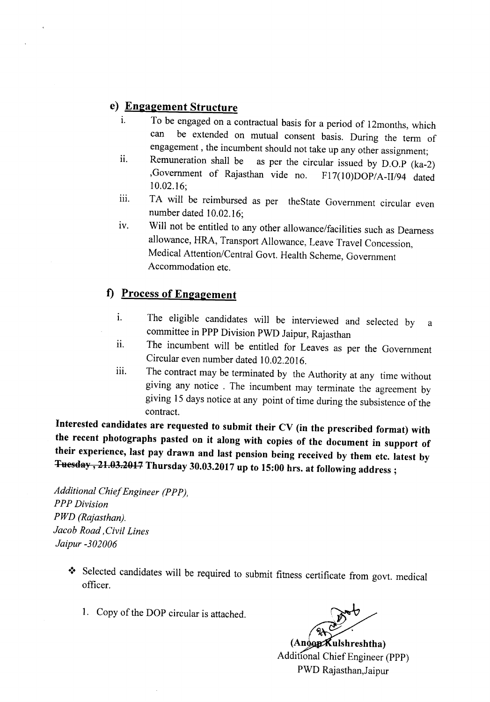### **e) Engagement Structure**

- i. To be engaged on a contractual basis for a period of 12months, which can be extended on mutual consent basis. During the term of engagement, the incumbent should not take up any other assignment;
- ii. Remuneration shall be as per the circular issued by D.O.P (ka-2) ,Government of Rajasthan vide no. FI7(10)DOP/A-II/94 dated 10.02.16;
- iii. TA will be reimbursed as per theState Government circular even number dated 10.02.16;
- iv. Will not be entitled to any other allowance/facilities such as Dearness allowance, HRA, Transport Allowance, Leave Travel Concession, Medical Attention/Central Govt. Health Scheme, Government Accommodation etc.

## **f) Process of Engagement**

- i. The eligible candidates will be interviewed and selected by a committee in PPP Division PWD Jaipur, Rajasthan
- ii. The incumbent will be entitled for Leaves as per the Government Circular even number dated 10.02.2016.
- iii. The contract may be terminated by the Authority at any time without giving any notice . The incumbent may terminate the agreement by giving 15 days notice at any point of time during the subsistence of the contract.

**Interested candidates are requested to submit their CV (in the prescribed format) with the recent photographs pasted on it along with copies of the document in support of their experience, last pay drawn and last pension being received by them etc. latest by Tuesday, 21.03.2017 Thursday 30.03.2017 up to 15:00 hrs. at following address;**

*Additional Chief Engineer (PPP), PPP Division PWD (Rajasthan). Jacob Road, Civil Lines Jaipur -302006*

- \* Selected candidates will be required to submit fitness certificate from govt. medical officer.
	- 1. Copy of the DOP circular is attached.

**(An ulshreshtha)** Additional Chief Engineer (PPP) PWD Rajasthan,Jaipur